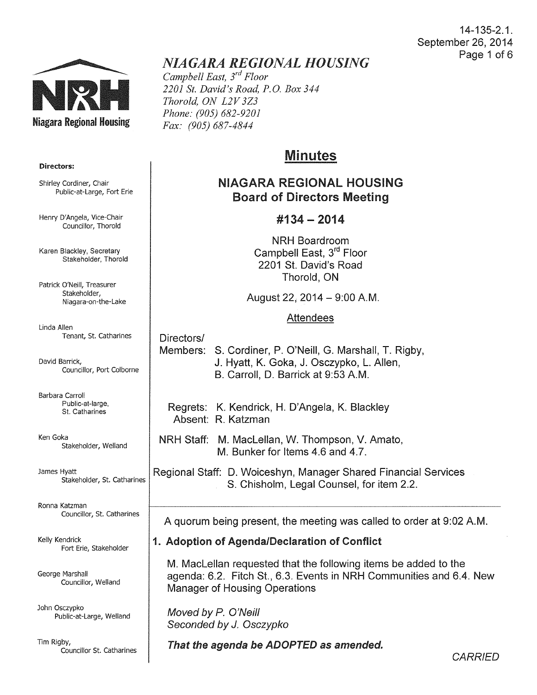14-135-2.1. September 26, 2014 Page 1 of 6



# *NIAGARA REGIONAL HOUSING*

*Campbell East, 3rd Floor 2201 St. David's Road, P.O. Box 344 Thorold, ON L2V 3Z3 Phone: (905) 682-9201 Fax: (905) 687-4844* 

# Minutes

## NIAGARA REGIONAL HOUSING Board of Directors Meeting

## #134- 2014

NRH Boardroom Campbell East, 3<sup>rd</sup> Floor 2201 St. David's Road Thorold, ON

August 22,  $2014 - 9:00$  A.M.

#### Attendees

Directors/ Members: S. Cordiner, P. O'Neill, G. Marshall, T. Rigby, J. Hyatt, K. Goka, J. Osczypko, L. Allen, B. Carroll, D. Barrick at 9:53A.M.

- Regrets: K. Kendrick, H. D'Angela, K. Blackley Absent: R. Katzman
- NRH Staff: M. Maclellan, W. Thompson, V. Amato, M. Bunker for Items 4.6 and 4.7.
- Regional Staff: D. Woiceshyn, Manager Shared Financial Services S. Chisholm, Legal Counsel, for item 2.2.

A quorum being present, the meeting was called to order at 9:02A.M.

## 1. Adoption of Agenda/Declaration of Conflict

M. Maclellan requested that the following items be added to the agenda: 6.2. Fitch St., 6.3. Events in NRH Communities and 6.4. New Manager of Housing Operations

Moved by *P.* O'Neill Seconded by J. Osczypko

That the agenda be ADOPTED as amended.

Directors:

Shirley Cordiner, Chair Public-at-Large, Fort Erie

Henry D'Angela, Vice-Chair Councillor, Thorold

Karen Blackley, Secretary Stakeholder, Thorold

Patrick O'Neill, Treasurer Stakeholder, Niagara-on-the-Lake

Linda Allen Tenant, St. Catharines

David Barrick, Councillor, Port Colborne

Barbara Carroll Public-at-large, St. Catharines

Ken Goka Stakeholder, Weiland

James Hyatt Stakeholder, St. Catharines

Ronna Katzman Councillor, St. Catharines

Kelly Kendrick Fort Erie, Stakeholder

George Marshall Councillor, Weiland

John Osczypko Public-at-Large, Weiland

Tim Rigby, Councillor St. Catharines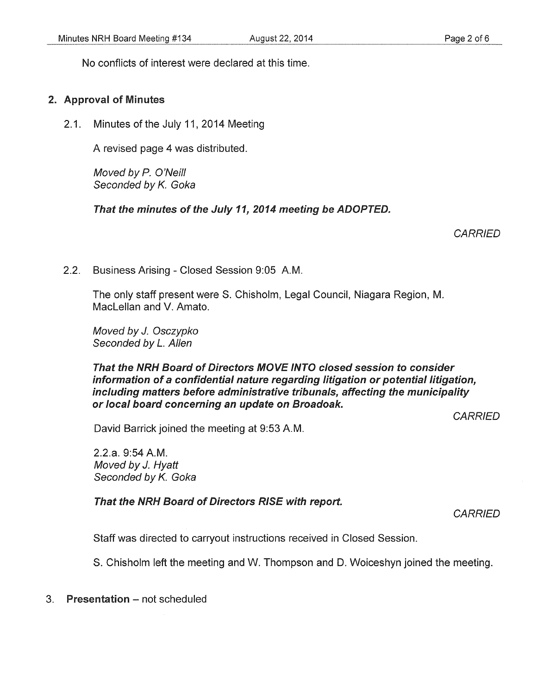No conflicts of interest were declared at this time.

#### 2. Approval of Minutes

2.1. Minutes of the July 11, 2014 Meeting

A revised page 4 was distributed.

Moved by P. O'Neill Seconded by *K.* Goka

That the minutes of the July 11, 2014 meeting be ADOPTED.

**CARRIED** 

2.2. Business Arising- Closed Session 9:05 A.M.

The only staff present were S. Chisholm, Legal Council, Niagara Region, M. Maclellan and V. Amato.

Moved by J. Osczypko Seconded by L. Allen

#### That the NRH Board of Directors MOVE INTO closed session to consider information of a confidential nature regarding litigation or potential litigation, including matters before administrative tribunals, affecting the municipality or local board concerning an update on Broadoak.

**CARRIED** 

David Barrick joined the meeting at 9:53A.M.

2.2.a. 9:54A.M. Moved by J. Hyatt Seconded by *K.* Goka

That the NRH Board of Directors RISE with report.

**CARRIED** 

Staff was directed to carryout instructions received in Closed Session.

S. Chisholm left the meeting and W. Thompson and D. Woiceshyn joined the meeting.

3. Presentation - not scheduled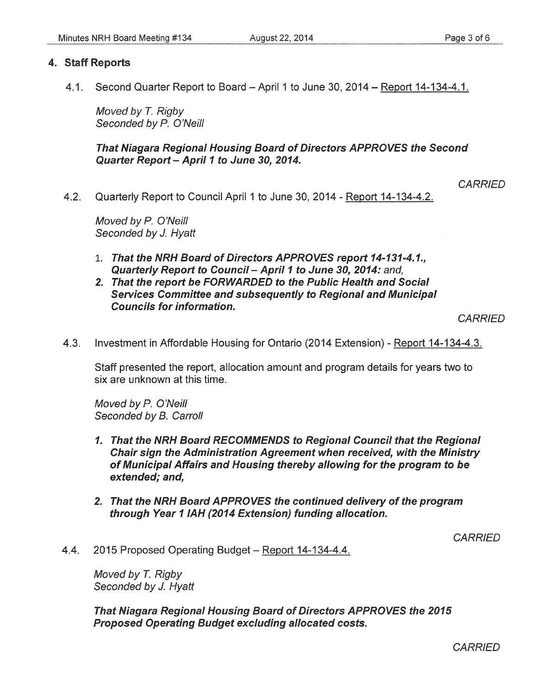#### 4. Staff Reports

4.1. Second Quarter Report to Board - April 1 to June 30, 2014 - Report 14-134-4.1.

Moved by *T.* Rigby Seconded by P. O'Neill

That Niagara Regional Housing Board of Directors APPROVES the Second Quarter Report - April 1 to June 30, 2014.

**CARRIED** 

4.2. Quarterly Report to Council April 1 to June 30, 2014- Report 14-134-4.2.

Moved by P. O'Neill Seconded by *J. Hyatt* 

- 1. That the NRH Board of Directors APPROVES report 14-131-4.1., Quarterly Report to Council - April 1 to June 30, 2014: and,
- 2. That the report be FORWARDED to the Public Health and Social Services Committee and subsequently to Regional and Municipal Councils for information.

**CARRIED** 

4.3. Investment in Affordable Housing for Ontario (2014 Extension)- Report 14-134-4.3.

Staff presented the report, allocation amount and program details for years two to six are unknown at this time.

Moved by P. O'Neill Seconded by B. Carroll

- 1. That the NRH Board RECOMMENDS to Regional Council that the Regional Chair sign the Administration Agreement when received, with the Ministry of Municipal Affairs and Housing thereby allowing for the program to be extended; and,
- 2. That the NRH Board APPROVES the continued delivery of the program through Year 11AH (2014 Extension) funding allocation.

**CARRIED** 

4.4. 2015 Proposed Operating Budget- Report 14-134-4.4.

Moved by *T.* Rigby Seconded by *J.* Hyatt

That Niagara Regional Housing Board of Directors APPROVES the 2015 Proposed Operating Budget excluding allocated costs.

**CARRIED**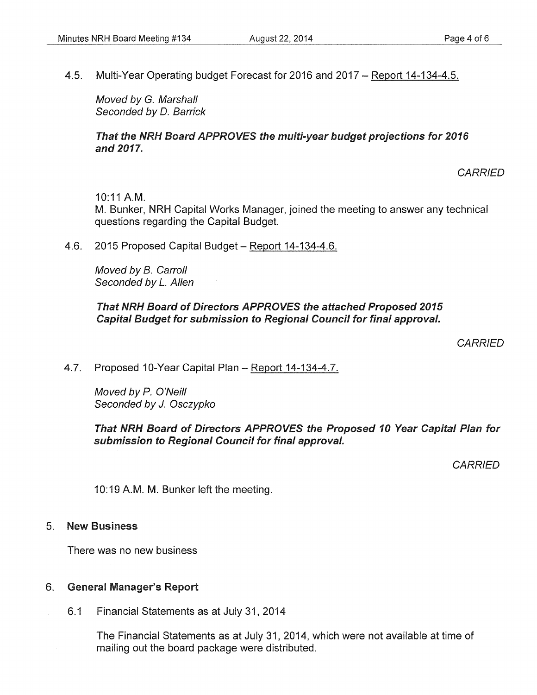4.5. Multi-Year Operating budget Forecast for 2016 and 2017- Report 14-134-4.5.

Moved by G. Marshall Seconded by D. Barrick

#### That the NRH Board APPROVES the multi-year budget projections for 2016 and 2017.

**CARRIED** 

10:11 A.M.

M. Bunker, NRH Capital Works Manager, joined the meeting to answer any technical questions regarding the Capital Budget.

4.6. 2015 Proposed Capital Budget - Report 14-134-4.6.

Moved by B. Carroll Seconded by L. Allen

#### That NRH Board of Directors APPROVES the attached Proposed 2015 Capital Budget for submission to Regional Council for final approval.

**CARRIED** 

4.7. Proposed 10-Year Capital Plan- Report 14-134-4.7.

Moved by P. O'Neill Seconded by J. Osczypko

That NRH Board of Directors APPROVES the Proposed 10 Year Capital Plan for submission to Regional Council for final approval.

**CARRIED** 

10:19 A.M. M. Bunker left the meeting.

#### 5. New Business

There was no new business

### 6. General Manager's Report

6.1 Financial Statements as at July 31, 2014

The Financial Statements as at July 31, 2014, which were not available at time of mailing out the board package were distributed.